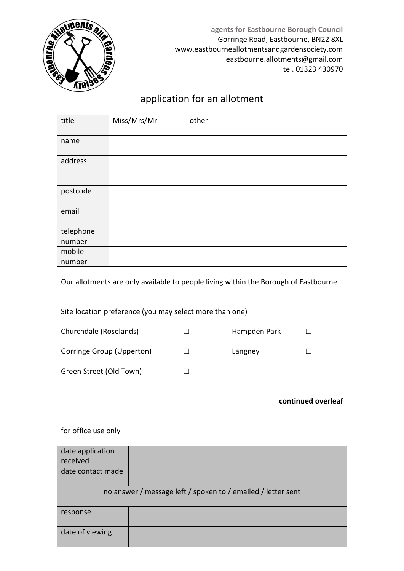

**agents for Eastbourne Borough Council** Gorringe Road, Eastbourne, BN22 8XL www.eastbourneallotmentsandgardensociety.com eastbourne.allotments@gmail.com tel. 01323 430970

## application for an allotment

| title               | Miss/Mrs/Mr | other |
|---------------------|-------------|-------|
| name                |             |       |
| address             |             |       |
| postcode            |             |       |
| email               |             |       |
| telephone<br>number |             |       |
| mobile<br>number    |             |       |

Our allotments are only available to people living within the Borough of Eastbourne

Site location preference (you may select more than one)

| Churchdale (Roselands)    | Hampden Park |  |
|---------------------------|--------------|--|
| Gorringe Group (Upperton) | Langney      |  |
| Green Street (Old Town)   |              |  |

## **continued overleaf**

for office use only

| date application<br>received                                 |  |  |  |  |
|--------------------------------------------------------------|--|--|--|--|
| date contact made                                            |  |  |  |  |
| no answer / message left / spoken to / emailed / letter sent |  |  |  |  |
| response                                                     |  |  |  |  |
| date of viewing                                              |  |  |  |  |